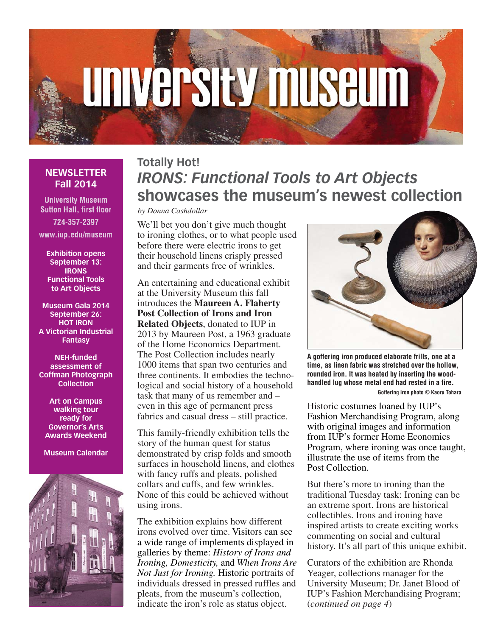# **UNIVERSIty MUSEUM**

# **NEWSLETTER Fall 2014**

**University Museum Sutton Hall, first floor** 724-357-2397

www.iup.edu/museum

**Exhibition opens September 13: IRONS Functional Tools to Art Objects**

**Museum Gala 2014 September 26: HOT IRON A Victorian Industrial Fantasy**

**NEH-funded assessment of Coffman Photograph Collection**

**Art on Campus walking tour ready for Governor's Arts Awards Weekend**

**Museum Calendar**



# **Totally Hot!** *IRONS: Functional Tools to Art Objects* **showcases the museum's newest collection**

*by Donna Cashdollar*

We'll bet you don't give much thought to ironing clothes, or to what people used before there were electric irons to get their household linens crisply pressed and their garments free of wrinkles.

An entertaining and educational exhibit at the University Museum this fall introduces the **Maureen A. Flaherty Post Collection of Irons and Iron Related Objects**, donated to IUP in 2013 by Maureen Post, a 1963 graduate of the Home Economics Department. The Post Collection includes nearly 1000 items that span two centuries and three continents. It embodies the technological and social history of a household task that many of us remember and – even in this age of permanent press fabrics and casual dress – still practice.

This family-friendly exhibition tells the story of the human quest for status demonstrated by crisp folds and smooth surfaces in household linens, and clothes with fancy ruffs and pleats, polished collars and cuffs, and few wrinkles. None of this could be achieved without using irons.

The exhibition explains how different irons evolved over time. Visitors can see a wide range of implements displayed in galleries by theme: *History of Irons and Ironing, Domesticity,* and *When Irons Are Not Just for Ironing.* Historic portraits of individuals dressed in pressed ruffles and pleats, from the museum's collection, indicate the iron's role as status object.



**A goffering iron produced elaborate frills, one at a time, as linen fabric was stretched over the hollow, rounded iron. It was heated by inserting the woodhandled lug whose metal end had rested in a fire. Goffering iron photo © Kaoru Tohara**

Historic costumes loaned by IUP's Fashion Merchandising Program, along with original images and information from IUP's former Home Economics Program, where ironing was once taught, illustrate the use of items from the Post Collection.

But there's more to ironing than the traditional Tuesday task: Ironing can be an extreme sport. Irons are historical collectibles. Irons and ironing have inspired artists to create exciting works commenting on social and cultural history. It's all part of this unique exhibit.

Curators of the exhibition are Rhonda Yeager, collections manager for the University Museum; Dr. Janet Blood of IUP's Fashion Merchandising Program; (*continued on page 4*)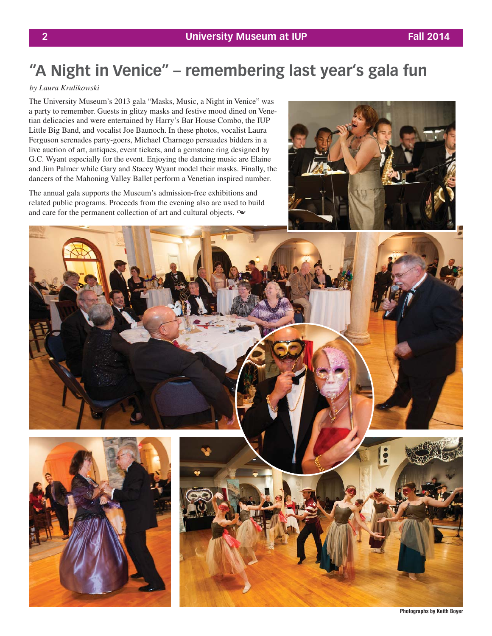# **"A Night in Venice" – remembering last year's gala fun**

## *by Laura Krulikowski*

The University Museum's 2013 gala "Masks, Music, a Night in Venice" was a party to remember. Guests in glitzy masks and festive mood dined on Venetian delicacies and were entertained by Harry's Bar House Combo, the IUP Little Big Band, and vocalist Joe Baunoch. In these photos, vocalist Laura Ferguson serenades party-goers, Michael Charnego persuades bidders in a live auction of art, antiques, event tickets, and a gemstone ring designed by G.C. Wyant especially for the event. Enjoying the dancing music are Elaine and Jim Palmer while Gary and Stacey Wyant model their masks. Finally, the dancers of the Mahoning Valley Ballet perform a Venetian inspired number.

The annual gala supports the Museum's admission-free exhibitions and related public programs. Proceeds from the evening also are used to build and care for the permanent collection of art and cultural objects.  $\infty$ 





**Photographs by Keith Boyer**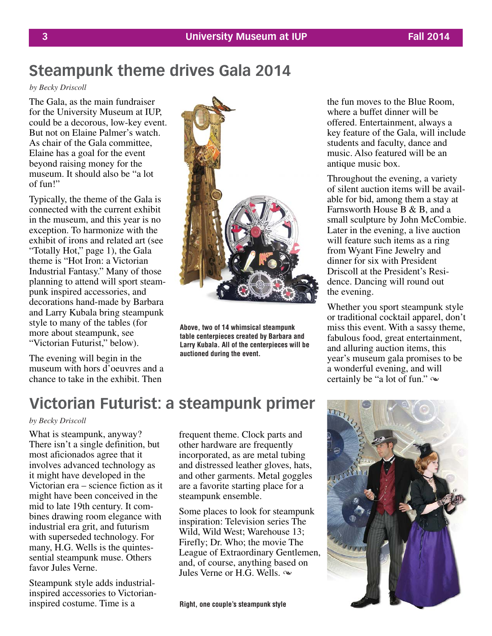# **Steampunk theme drives Gala 2014**

*by Becky Driscoll*

The Gala, as the main fundraiser for the University Museum at IUP, could be a decorous, low-key event. But not on Elaine Palmer's watch. As chair of the Gala committee, Elaine has a goal for the event beyond raising money for the museum. It should also be "a lot of fun!"

Typically, the theme of the Gala is connected with the current exhibit in the museum, and this year is no exception. To harmonize with the exhibit of irons and related art (see "Totally Hot," page 1), the Gala theme is "Hot Iron: a Victorian Industrial Fantasy." Many of those planning to attend will sport steampunk inspired accessories, and decorations hand-made by Barbara and Larry Kubala bring steampunk style to many of the tables (for more about steampunk, see "Victorian Futurist," below).

The evening will begin in the museum with hors d'oeuvres and a chance to take in the exhibit. Then



**Above, two of 14 whimsical steampunk table centerpieces created by Barbara and Larry Kubala. All of the centerpieces will be auctioned during the event.**

the fun moves to the Blue Room, where a buffet dinner will be offered. Entertainment, always a key feature of the Gala, will include students and faculty, dance and music. Also featured will be an antique music box.

Throughout the evening, a variety of silent auction items will be available for bid, among them a stay at Farnsworth House B & B, and a small sculpture by John McCombie. Later in the evening, a live auction will feature such items as a ring from Wyant Fine Jewelry and dinner for six with President Driscoll at the President's Residence. Dancing will round out the evening.

Whether you sport steampunk style or traditional cocktail apparel, don't miss this event. With a sassy theme, fabulous food, great entertainment, and alluring auction items, this year's museum gala promises to be a wonderful evening, and will certainly be "a lot of fun."  $\infty$ 

# **Victorian Futurist: a steampunk primer**

## *by Becky Driscoll*

What is steampunk, anyway? There isn't a single definition, but most aficionados agree that it involves advanced technology as it might have developed in the Victorian era – science fiction as it might have been conceived in the mid to late 19th century. It combines drawing room elegance with industrial era grit, and futurism with superseded technology. For many, H.G. Wells is the quintessential steampunk muse. Others favor Jules Verne.

Steampunk style adds industrialinspired accessories to Victorianinspired costume. Time is a

frequent theme. Clock parts and other hardware are frequently incorporated, as are metal tubing and distressed leather gloves, hats, and other garments. Metal goggles are a favorite starting place for a steampunk ensemble.

Some places to look for steampunk inspiration: Television series The Wild, Wild West; Warehouse 13; Firefly; Dr. Who; the movie The League of Extraordinary Gentlemen, and, of course, anything based on Jules Verne or H.G. Wells.  $\infty$